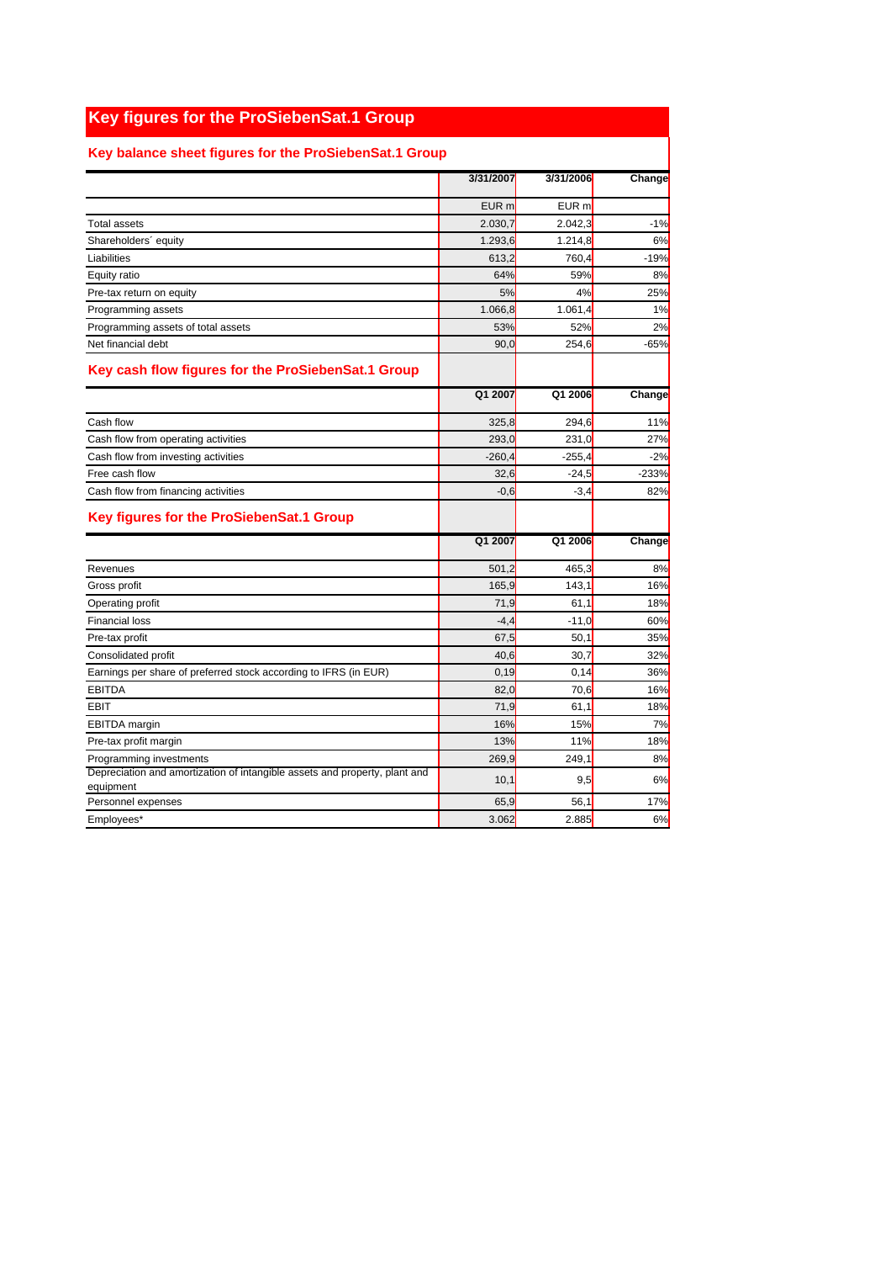## **Key figures for the ProSiebenSat.1 Group**

## **Key balance sheet figures for the ProSiebenSat.1 Group**

|                                                                                         | 3/31/2007        | 3/31/2006           | Change  |
|-----------------------------------------------------------------------------------------|------------------|---------------------|---------|
|                                                                                         | EUR <sub>m</sub> | EUR <sub>m</sub>    |         |
| <b>Total assets</b>                                                                     | 2.030,7          | 2.042,3             | $-1%$   |
| Shareholders' equity                                                                    | 1.293,6          | 1.214.8             | 6%      |
| Liabilities                                                                             | 613,2            | 760,4               | $-19%$  |
| Equity ratio                                                                            | 64%              | 59%                 | 8%      |
| Pre-tax return on equity                                                                | 5%               | 4%                  | 25%     |
| Programming assets                                                                      | 1.066,8          | 1.061,4             | 1%      |
| Programming assets of total assets                                                      | 53%              | 52%                 | 2%      |
| Net financial debt                                                                      | 90,0             | 254,6               | $-65%$  |
| Key cash flow figures for the ProSiebenSat.1 Group                                      |                  |                     |         |
|                                                                                         | Q1 2007          | $\overline{Q12006}$ | Change  |
| Cash flow                                                                               | 325,8            | 294,6               | 11%     |
| Cash flow from operating activities                                                     | 293,0            | 231,0               | 27%     |
| Cash flow from investing activities                                                     | $-260,4$         | $-255.4$            | $-2%$   |
| Free cash flow                                                                          | 32,6             | $-24,5$             | $-233%$ |
| Cash flow from financing activities                                                     | $-0,6$           | $-3,4$              | 82%     |
| Key figures for the ProSiebenSat.1 Group                                                |                  |                     |         |
|                                                                                         | Q1 2007          | Q1 2006             | Change  |
| Revenues                                                                                | 501,2            | 465,3               | 8%      |
| Gross profit                                                                            | 165,9            | 143,1               | 16%     |
| Operating profit                                                                        | 71,9             | 61,1                | 18%     |
| <b>Financial loss</b>                                                                   | $-4,4$           | $-11,0$             | 60%     |
| Pre-tax profit                                                                          | 67,5             | 50.1                | 35%     |
| Consolidated profit                                                                     | 40,6             | 30,7                | 32%     |
| Earnings per share of preferred stock according to IFRS (in EUR)                        | 0,19             | 0,14                | 36%     |
| <b>EBITDA</b>                                                                           | 82,0             | 70,6                | 16%     |
| <b>EBIT</b>                                                                             | 71,9             | 61,1                | 18%     |
| <b>EBITDA</b> margin                                                                    | 16%              | 15%                 | 7%      |
| Pre-tax profit margin                                                                   | 13%              | 11%                 | 18%     |
| Programming investments                                                                 | 269,9            | 249,1               | 8%      |
| Depreciation and amortization of intangible assets and property, plant and<br>equipment | 10,1             | 9,5                 | 6%      |
| Personnel expenses                                                                      | 65,9             | 56,1                | 17%     |
| Employees*                                                                              | 3.062            | 2.885               | 6%      |